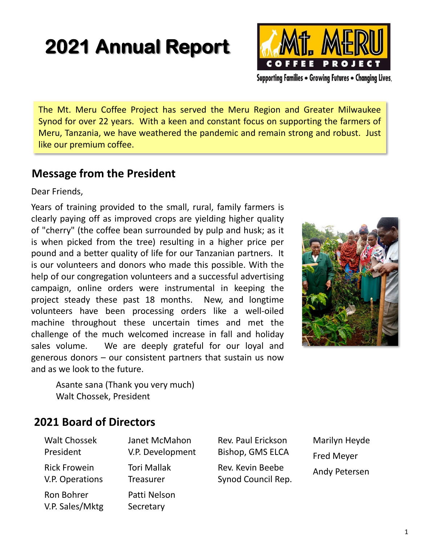# **2021 Annual Report**



Supporting Families . Growing Futures . Changing Lives.

The Mt. Meru Coffee Project has served the Meru Region and Greater Milwaukee Synod for over 22 years. With a keen and constant focus on supporting the farmers of Meru, Tanzania, we have weathered the pandemic and remain strong and robust. Just like our premium coffee.

# **Message from the President**

Dear Friends,

Years of training provided to the small, rural, family farmers is clearly paying off as improved crops are yielding higher quality of "cherry" (the coffee bean surrounded by pulp and husk; as it is when picked from the tree) resulting in a higher price per pound and a better quality of life for our Tanzanian partners. It is our volunteers and donors who made this possible. With the help of our congregation volunteers and a successful advertising campaign, online orders were instrumental in keeping the project steady these past 18 months. New, and longtime volunteers have been processing orders like a well-oiled machine throughout these uncertain times and met the challenge of the much welcomed increase in fall and holiday sales volume. We are deeply grateful for our loyal and generous donors – our consistent partners that sustain us now and as we look to the future.



Asante sana (Thank you very much) Walt Chossek, President

# **2021 Board of Directors**

| <b>Walt Chossek</b> | Janet McMahon      |
|---------------------|--------------------|
| President           | V.P. Development   |
| <b>Rick Frowein</b> | <b>Tori Mallak</b> |
| V.P. Operations     | <b>Treasurer</b>   |
| Ron Bohrer          | Patti Nelson       |
| V.P. Sales/Mktg     | Secretary          |

Rev. Paul Erickson Bishop, GMS ELCA Rev. Kevin Beebe Synod Council Rep. Marilyn Heyde Fred Meyer Andy Petersen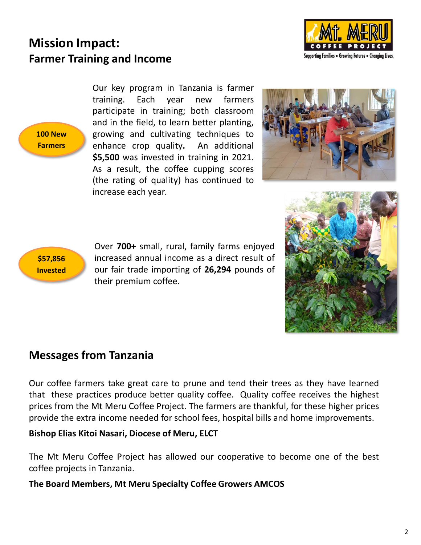



**100 New Farmers**

Our key program in Tanzania is farmer training. Each year new farmers participate in training; both classroom and in the field, to learn better planting, growing and cultivating techniques to enhance crop quality**.** An additional **\$5,500** was invested in training in 2021. As a result, the coffee cupping scores (the rating of quality) has continued to increase each year.





Over **700+** small, rural, family farms enjoyed increased annual income as a direct result of our fair trade importing of **26,294** pounds of their premium coffee.



# **Messages from Tanzania**

Our coffee farmers take great care to prune and tend their trees as they have learned that these practices produce better quality coffee. Quality coffee receives the highest prices from the Mt Meru Coffee Project. The farmers are thankful, for these higher prices provide the extra income needed for school fees, hospital bills and home improvements.

#### **Bishop Elias Kitoi Nasari, Diocese of Meru, ELCT**

The Mt Meru Coffee Project has allowed our cooperative to become one of the best coffee projects in Tanzania.

**The Board Members, Mt Meru Specialty Coffee Growers AMCOS**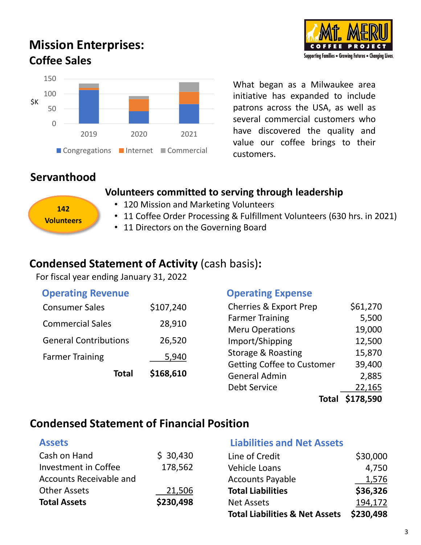# **Mission Enterprises: Coffee Sales**



What began as a Milwaukee area initiative has expanded to include patrons across the USA, as well as several commercial customers who have discovered the quality and value our coffee brings to their customers.

# **Servanthood**

**142 Volunteers**

#### **Volunteers committed to serving through leadership**

#### • 120 Mission and Marketing Volunteers

- 11 Coffee Order Processing & Fulfillment Volunteers (630 hrs. in 2021)
- 11 Directors on the Governing Board

#### **Condensed Statement of Activity** (cash basis)**:**

For fiscal year ending January 31, 2022

| <b>Operating Revenue</b>     |                                    | <b>Operating Expense</b>          |          |
|------------------------------|------------------------------------|-----------------------------------|----------|
| <b>Consumer Sales</b>        | \$107,240                          | <b>Cherries &amp; Export Prep</b> | \$61,270 |
| <b>Commercial Sales</b>      | 28,910                             | <b>Farmer Training</b>            | 5,500    |
|                              |                                    | <b>Meru Operations</b>            | 19,000   |
| <b>General Contributions</b> | 26,520                             | Import/Shipping                   | 12,500   |
| <b>Farmer Training</b>       | 5,940<br>\$168,610<br><b>Total</b> | Storage & Roasting                | 15,870   |
|                              |                                    | <b>Getting Coffee to Customer</b> | 39,400   |
|                              |                                    | <b>General Admin</b>              | 2,885    |
|                              |                                    | <b>Debt Service</b>               | 22,165   |

# **Condensed Statement of Financial Position**

| Cash on Hand            | \$30,430  | Line of Credit                            | \$30,000  |
|-------------------------|-----------|-------------------------------------------|-----------|
| Investment in Coffee    | 178,562   | Vehicle Loans                             | 4,750     |
| Accounts Receivable and |           | <b>Accounts Payable</b>                   | 1,576     |
| <b>Other Assets</b>     | 21,506    | <b>Total Liabilities</b>                  | \$36,326  |
| <b>Total Assets</b>     | \$230,498 | <b>Net Assets</b>                         | 194,172   |
|                         |           | <b>Total Liabilities &amp; Net Assets</b> | \$230,498 |



**Total \$178,590**